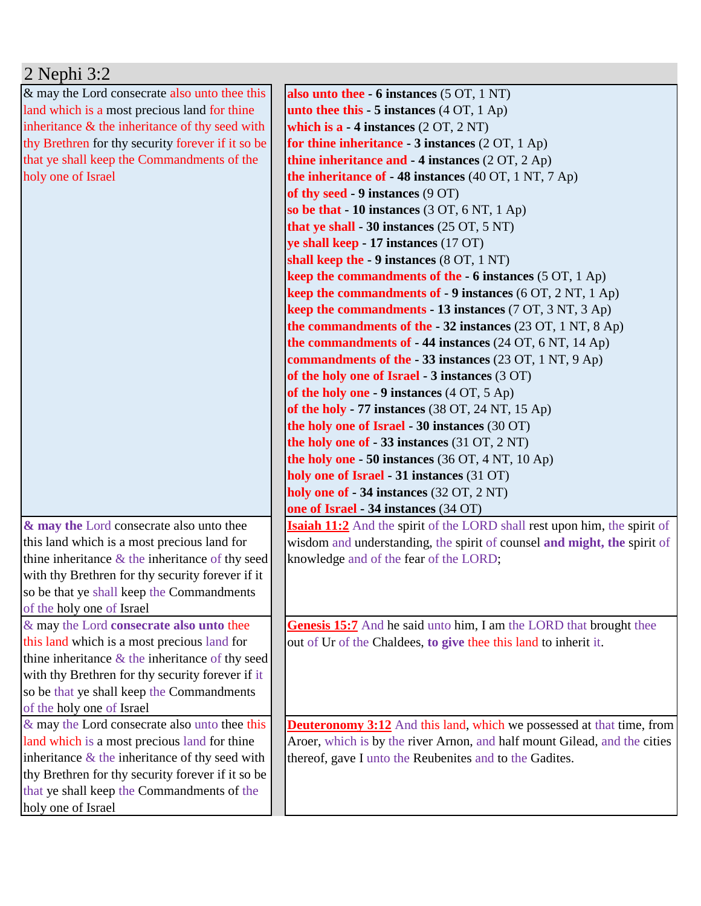| $2$ Nephi $3:2$                                                            |                                                                                  |
|----------------------------------------------------------------------------|----------------------------------------------------------------------------------|
| & may the Lord consecrate also unto thee this                              | also unto thee $-6$ instances $(5 OT, 1 NT)$                                     |
| land which is a most precious land for thine                               | unto thee this $-5$ instances $(4 OT, 1 Ap)$                                     |
| inheritance $\&$ the inheritance of thy seed with                          | which is $a - 4$ instances $(2 OT, 2 NT)$                                        |
| thy Brethren for thy security forever if it so be                          | for thine inheritance - 3 instances (2 OT, 1 Ap)                                 |
| that ye shall keep the Commandments of the                                 | thine inheritance and $-4$ instances (2 OT, 2 Ap)                                |
| holy one of Israel                                                         | the inheritance of $-48$ instances (40 OT, 1 NT, 7 Ap)                           |
|                                                                            | of thy seed - 9 instances (9 OT)                                                 |
|                                                                            | so be that $-10$ instances (3 OT, 6 NT, 1 Ap)                                    |
|                                                                            | that ye shall - 30 instances $(25 \text{ OT}, 5 \text{ NT})$                     |
|                                                                            | ye shall keep - 17 instances (17 OT)                                             |
|                                                                            | shall keep the - 9 instances (8 OT, 1 NT)                                        |
|                                                                            | keep the commandments of the $-6$ instances (5 OT, 1 Ap)                         |
|                                                                            | <b>keep the commandments of - 9 instances</b> $(6 OT, 2 NT, 1 Ap)$               |
|                                                                            | <b>keep the commandments - 13 instances</b> (7 OT, 3 NT, 3 Ap)                   |
|                                                                            | the commandments of the $-32$ instances (23 OT, 1 NT, 8 Ap)                      |
|                                                                            | the commandments of $-44$ instances (24 OT, 6 NT, 14 Ap)                         |
|                                                                            | commandments of the - 33 instances (23 OT, 1 NT, 9 Ap)                           |
|                                                                            | of the holy one of Israel - 3 instances (3 OT)                                   |
|                                                                            | of the holy one - 9 instances $(4 OT, 5 Ap)$                                     |
|                                                                            | of the holy - 77 instances $(38 \text{ OT}, 24 \text{ NT}, 15 \text{ Ap})$       |
|                                                                            | the holy one of Israel - 30 instances (30 OT)                                    |
|                                                                            | the holy one of $-33$ instances (31 OT, 2 NT)                                    |
|                                                                            | the holy one $-50$ instances (36 OT, 4 NT, 10 Ap)                                |
|                                                                            | holy one of Israel - 31 instances (31 OT)                                        |
|                                                                            | holy one of - 34 instances (32 OT, 2 NT)                                         |
|                                                                            | one of Israel - 34 instances (34 OT)                                             |
| & may the Lord consecrate also unto thee                                   | <b>Isaiah 11:2</b> And the spirit of the LORD shall rest upon him, the spirit of |
| this land which is a most precious land for                                | wisdom and understanding, the spirit of counsel and might, the spirit of         |
| thine inheritance $&$ the inheritance of thy seed                          | knowledge and of the fear of the LORD;                                           |
| with thy Brethren for thy security forever if it                           |                                                                                  |
| so be that ye shall keep the Commandments                                  |                                                                                  |
| of the holy one of Israel                                                  |                                                                                  |
| & may the Lord consecrate also unto thee                                   | Genesis 15:7 And he said unto him, I am the LORD that brought thee               |
| this land which is a most precious land for                                | out of Ur of the Chaldees, to give thee this land to inherit it.                 |
| thine inheritance $\&$ the inheritance of thy seed                         |                                                                                  |
| with thy Brethren for thy security forever if it                           |                                                                                  |
| so be that ye shall keep the Commandments                                  |                                                                                  |
| of the holy one of Israel<br>& may the Lord consecrate also unto thee this | <b>Deuteronomy 3:12</b> And this land, which we possessed at that time, from     |
| land which is a most precious land for thine                               | Aroer, which is by the river Arnon, and half mount Gilead, and the cities        |
| inheritance $\&$ the inheritance of thy seed with                          | thereof, gave I unto the Reubenites and to the Gadites.                          |
| thy Brethren for thy security forever if it so be                          |                                                                                  |
| that ye shall keep the Commandments of the                                 |                                                                                  |
| holy one of Israel                                                         |                                                                                  |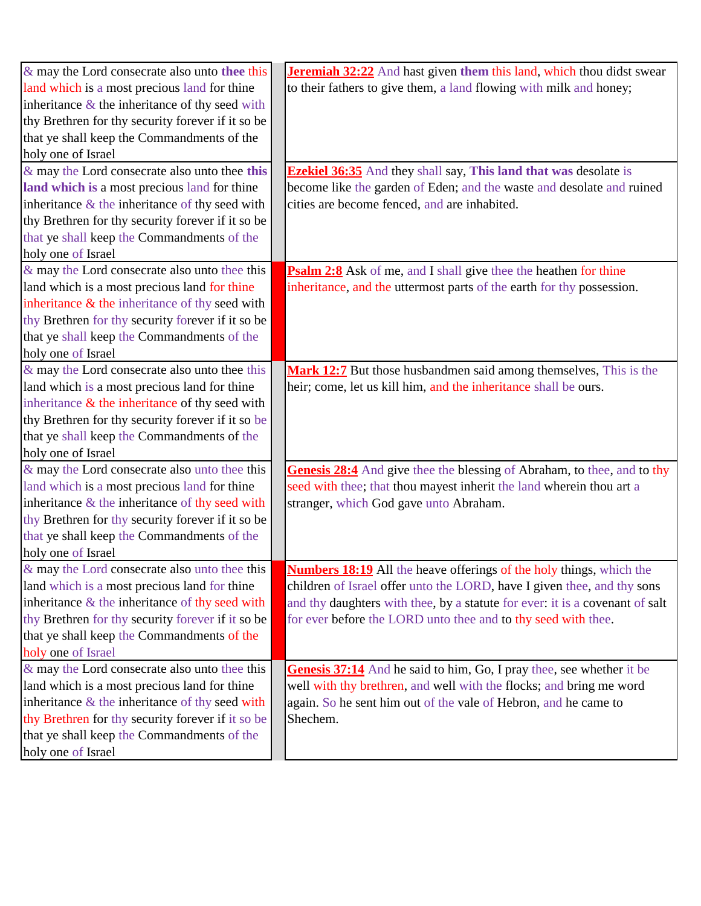| $\&$ may the Lord consecrate also unto thee this  | Jeremiah 32:22 And hast given them this land, which thou didst swear         |
|---------------------------------------------------|------------------------------------------------------------------------------|
| land which is a most precious land for thine      | to their fathers to give them, a land flowing with milk and honey;           |
| inheritance $\&$ the inheritance of thy seed with |                                                                              |
| thy Brethren for thy security forever if it so be |                                                                              |
| that ye shall keep the Commandments of the        |                                                                              |
| holy one of Israel                                |                                                                              |
| $\&$ may the Lord consecrate also unto thee this  | <b>Ezekiel 36:35</b> And they shall say, This land that was desolate is      |
| land which is a most precious land for thine      | become like the garden of Eden; and the waste and desolate and ruined        |
| inheritance $\&$ the inheritance of thy seed with | cities are become fenced, and are inhabited.                                 |
| thy Brethren for thy security forever if it so be |                                                                              |
| that ye shall keep the Commandments of the        |                                                                              |
| holy one of Israel                                |                                                                              |
| $\&$ may the Lord consecrate also unto thee this  | <b>Psalm 2:8</b> Ask of me, and I shall give thee the heathen for thine      |
| land which is a most precious land for thine      | inheritance, and the uttermost parts of the earth for thy possession.        |
| inheritance $\&$ the inheritance of thy seed with |                                                                              |
| thy Brethren for thy security forever if it so be |                                                                              |
| that ye shall keep the Commandments of the        |                                                                              |
| holy one of Israel                                |                                                                              |
| $\&$ may the Lord consecrate also unto thee this  | Mark 12:7 But those husbandmen said among themselves, This is the            |
| land which is a most precious land for thine      | heir; come, let us kill him, and the inheritance shall be ours.              |
| inheritance $\&$ the inheritance of thy seed with |                                                                              |
| thy Brethren for thy security forever if it so be |                                                                              |
| that ye shall keep the Commandments of the        |                                                                              |
| holy one of Israel                                |                                                                              |
| & may the Lord consecrate also unto thee this     | Genesis 28:4 And give thee the blessing of Abraham, to thee, and to thy      |
| land which is a most precious land for thine      | seed with thee; that thou mayest inherit the land wherein thou art a         |
| inheritance $\&$ the inheritance of thy seed with | stranger, which God gave unto Abraham.                                       |
| thy Brethren for thy security forever if it so be |                                                                              |
| that ye shall keep the Commandments of the        |                                                                              |
| holy one of Israel                                |                                                                              |
| $\&$ may the Lord consecrate also unto thee this  | <b>Numbers 18:19</b> All the heave offerings of the holy things, which the   |
| land which is a most precious land for thine      | children of Israel offer unto the LORD, have I given thee, and thy sons      |
| inheritance $\&$ the inheritance of thy seed with | and thy daughters with thee, by a statute for ever: it is a covenant of salt |
| thy Brethren for thy security forever if it so be | for ever before the LORD unto thee and to thy seed with thee.                |
| that ye shall keep the Commandments of the        |                                                                              |
| holy one of Israel                                |                                                                              |
| $\&$ may the Lord consecrate also unto thee this  | Genesis 37:14 And he said to him, Go, I pray thee, see whether it be         |
| land which is a most precious land for thine      | well with thy brethren, and well with the flocks; and bring me word          |
| inheritance $\&$ the inheritance of thy seed with | again. So he sent him out of the vale of Hebron, and he came to              |
| thy Brethren for thy security forever if it so be | Shechem.                                                                     |
| that ye shall keep the Commandments of the        |                                                                              |
| holy one of Israel                                |                                                                              |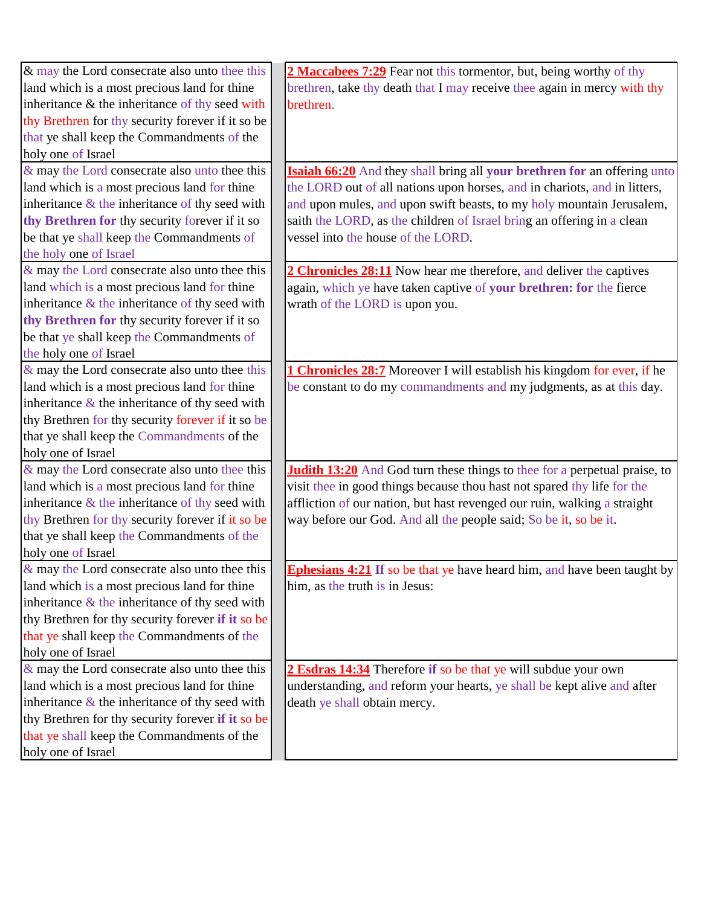| & may the Lord consecrate also unto thee this     | 2 Maccabees 7:29 Fear not this tormentor, but, being worthy of thy               |
|---------------------------------------------------|----------------------------------------------------------------------------------|
| land which is a most precious land for thine      | brethren, take thy death that I may receive thee again in mercy with thy         |
| inheritance & the inheritance of thy seed with    | brethren.                                                                        |
| thy Brethren for thy security forever if it so be |                                                                                  |
| that ye shall keep the Commandments of the        |                                                                                  |
| holy one of Israel                                |                                                                                  |
| & may the Lord consecrate also unto thee this     | Isaiah 66:20 And they shall bring all your brethren for an offering unto         |
| land which is a most precious land for thine      | the LORD out of all nations upon horses, and in chariots, and in litters,        |
| inheritance $\&$ the inheritance of thy seed with | and upon mules, and upon swift beasts, to my holy mountain Jerusalem,            |
| thy Brethren for thy security forever if it so    | saith the LORD, as the children of Israel bring an offering in a clean           |
| be that ye shall keep the Commandments of         | vessel into the house of the LORD.                                               |
| the holy one of Israel                            |                                                                                  |
| & may the Lord consecrate also unto thee this     | 2 Chronicles 28:11 Now hear me therefore, and deliver the captives               |
| land which is a most precious land for thine      | again, which ye have taken captive of your brethren: for the fierce              |
| inheritance $\&$ the inheritance of thy seed with | wrath of the LORD is upon you.                                                   |
| thy Brethren for thy security forever if it so    |                                                                                  |
| be that ye shall keep the Commandments of         |                                                                                  |
| the holy one of Israel                            |                                                                                  |
| & may the Lord consecrate also unto thee this     | <b>1 Chronicles 28:7</b> Moreover I will establish his kingdom for ever, if he   |
| land which is a most precious land for thine      | be constant to do my commandments and my judgments, as at this day.              |
| inheritance $\&$ the inheritance of thy seed with |                                                                                  |
| thy Brethren for thy security forever if it so be |                                                                                  |
| that ye shall keep the Commandments of the        |                                                                                  |
| holy one of Israel                                |                                                                                  |
| & may the Lord consecrate also unto thee this     | <b>Judith 13:20</b> And God turn these things to thee for a perpetual praise, to |
| land which is a most precious land for thine      | visit thee in good things because thou hast not spared thy life for the          |
| inheritance $\&$ the inheritance of thy seed with | affliction of our nation, but hast revenged our ruin, walking a straight         |
| thy Brethren for thy security forever if it so be | way before our God. And all the people said; So be it, so be it.                 |
| that ye shall keep the Commandments of the        |                                                                                  |
| holy one of Israel                                |                                                                                  |
| $\&$ may the Lord consecrate also unto thee this  | <b>Ephesians 4:21</b> If so be that ye have heard him, and have been taught by   |
| land which is a most precious land for thine      | him, as the truth is in Jesus:                                                   |
| inheritance $\&$ the inheritance of thy seed with |                                                                                  |
| thy Brethren for thy security forever if it so be |                                                                                  |
| that ye shall keep the Commandments of the        |                                                                                  |
| holy one of Israel                                |                                                                                  |
| & may the Lord consecrate also unto thee this     | 2 Esdras 14:34 Therefore if so be that ye will subdue your own                   |
| land which is a most precious land for thine      | understanding, and reform your hearts, ye shall be kept alive and after          |
| inheritance $\&$ the inheritance of thy seed with | death ye shall obtain mercy.                                                     |
| thy Brethren for thy security forever if it so be |                                                                                  |
| that ye shall keep the Commandments of the        |                                                                                  |
| holy one of Israel                                |                                                                                  |